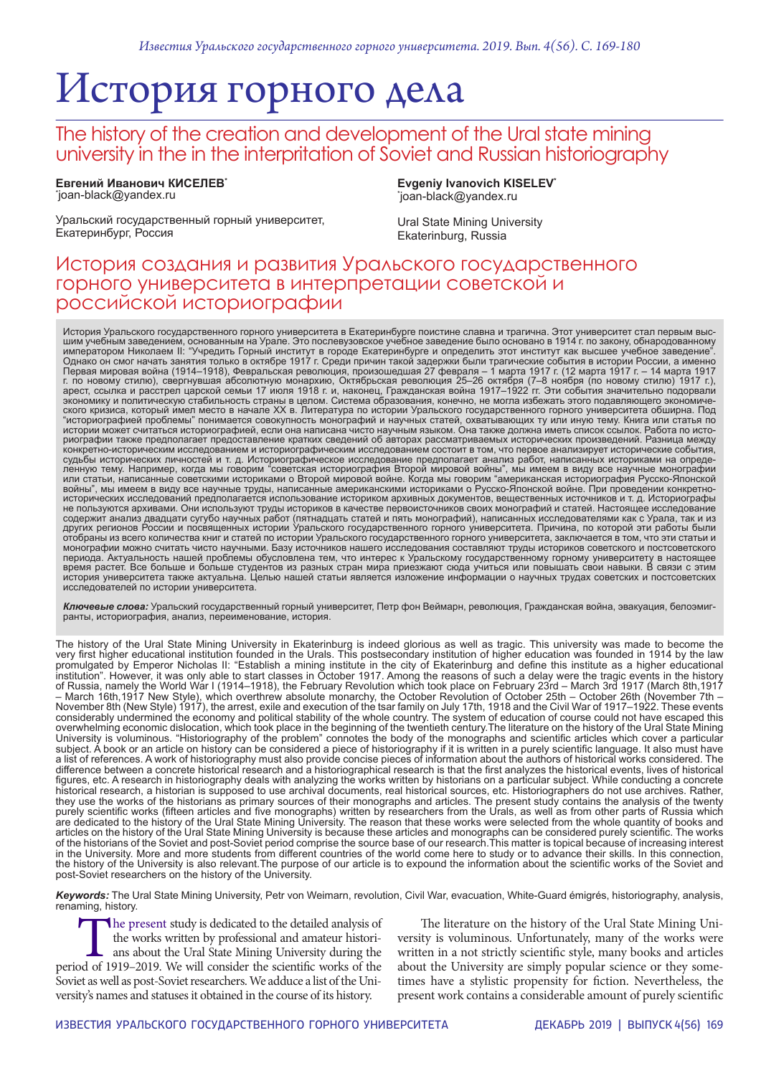# История горного дела

## The history of the creation and development of the Ural state mining university in the in the interpritation of Soviet and Russian historiography

**Евгений Иванович КИСЕЛЕВ\*** \* joan-black@yandex.ru

**Evgeniy Ivanovich KISELEV\*** \* joan-black@yandex.ru

Уральский государственный горный университет, Екатеринбург, Россия

Ural State Mining University Ekaterinburg, Russia

### История создания и развития Уральского государственного горного университета в интерпретации советской и российской историографии

История Уральского государственного горного университета в Екатеринбурге поистине славна и трагична. Этот университет стал первым выс-<br>шим учебным заведением, основанным на Урале. Это послевузовское учебное заведение было Однако он смог начать занятия только в октябре 1917 г. Среди причин такой задержки были трагические события в истории России, а именно<br>Первая мировая война (1914–1918), Февральская революция, произошедшая 27 февраля – 1 м ского кризиса, который имел место в начале XX в. Литература по истории Уральского государственного горного университета обширна. Под<br>"историографией проблемы" понимается совокупность монографий и научных статей, охватываю риографии также предполагает предоставление кратких сведений об авторах рассматриваемых исторических произведений. Разница между<br>конкретно-историческим исследованием и историографическим исследованием состоит в том, что п или статьи, написанные советскими историками о Второй мировой войне. Когда мы говорим "американская историография Русско-Японской<br>войны", мы имеем в виду все научные труды, написанные американскими историками о Русско-Япо не пользуются архивами. Они используют труды историков в качестве первоисточников своих монографий и статей. Настоящее исследование содержит анализ двадцати сугубо научных работ (пятнадцать статей и пять монографий), написанных исследователями как с Урала, так и из<br>других регионов России и посвященных истории Уральского государственного горного универ монографии можно считать чисто научными. Базу источников нашего исследования составляют труды историков советского и постсоветского периода. Актуальность нашей проблемы обусловлена тем, что интерес к Уральскому государственному горному университету в настоящее<br>время растет. Все больше и больше студентов из разных стран мира приезжают сюда учиться или исследователей по истории университета.

**Ключевые слова:** Уральский государственный горный университет, Петр фон Веймарн, революция, Гражданская война, эвакуация, белоэмиг-<br>ранты, историография, анализ, переименование, история.

The history of the Ural State Mining University in Ekaterinburg is indeed glorious as well as tragic. This university was made to become the very first higher educational institution founded in the Urals. This postsecondary institution of higher education was founded in 1914 by the law promulgated by Emperor Nicholas II: "Establish a mining institute in the city of Ekaterinburg and define this institute as a higher educational institution". However, it was only able to start classes in October 1917. Among the reasons of such a delay were the tragic events in the history of Russia, namely the World War I (1914–1918), the February Revolution which took place on February 23rd – March 3rd 1917 (March 8th,1917 – March 16th,1917 New Style), which overthrew absolute monarchy, the October Revolution of October 25th – October 26th (November 7th – November 8th (New Style) 1917), the arrest, exile and execution of the tsar family on July 17th, 1918 and the Civil War of 1917–1922. These events considerably undermined the economy and political stability of the whole country. The system of education of course could not have escaped this overwhelming economic dislocation, which took place in the beginning of the twentieth century.The literature on the history of the Ural State Mining<br>University is voluminous. "Historiography of the problem" connotes the bo subject. A book or an article on history can be considered a piece of historiography if it is written in a purely scientific language. It also must have a list of references. A work of historiography must also provide concise pieces of information about the authors of historical works considered. The difference between a concrete historical research and a historiographical research is that the first analyzes the historical events, lives of historical figures, etc. A research in historiography deals with analyzing the works written by historians on a particular subject. While conducting a concrete historical research, a historian is supposed to use archival documents, real historical sources, etc. Historiographers do not use archives. Rather, they use the works of the historians as primary sources of their monographs and articles. The present study contains the analysis of the twenty purely scientific works (fifteen articles and five monographs) written by researchers from the Urals, as well as from other parts of Russia which are dedicated to the history of the Ural State Mining University. The reason that these works were selected from the whole quantity of books and articles on the history of the Ural State Mining University is because these articles and monographs can be considered purely scientific. The works of the historians of the Soviet and post-Soviet period comprise the source base of our research.This matter is topical because of increasing interest in the University. More and more students from different countries of the world come here to study or to advance their skills. In this connection, the history of the University is also relevant.The purpose of our article is to expound the information about the scientific works of the Soviet and post-Soviet researchers on the history of the University.

*Keywords:* The Ural State Mining University, Petr von Weimarn, revolution, Civil War, evacuation, White-Guard émigrés, historiography, analysis, renaming, history.

The present study is dedicated to the detailed analysis of<br>the works written by professional and amateur historians<br>about the Ural State Mining University during the<br>od of 1919–2019. We will consider the scientific works o the works written by professional and amateur historians about the Ural State Mining University during the period of 1919–2019. We will consider the scientific works of the Soviet as well as post-Soviet researchers. We adduce a list of the University's names and statuses it obtained in the course of its history.

The literature on the history of the Ural State Mining University is voluminous. Unfortunately, many of the works were written in a not strictly scientific style, many books and articles about the University are simply popular science or they sometimes have a stylistic propensity for fiction. Nevertheless, the present work contains a considerable amount of purely scientific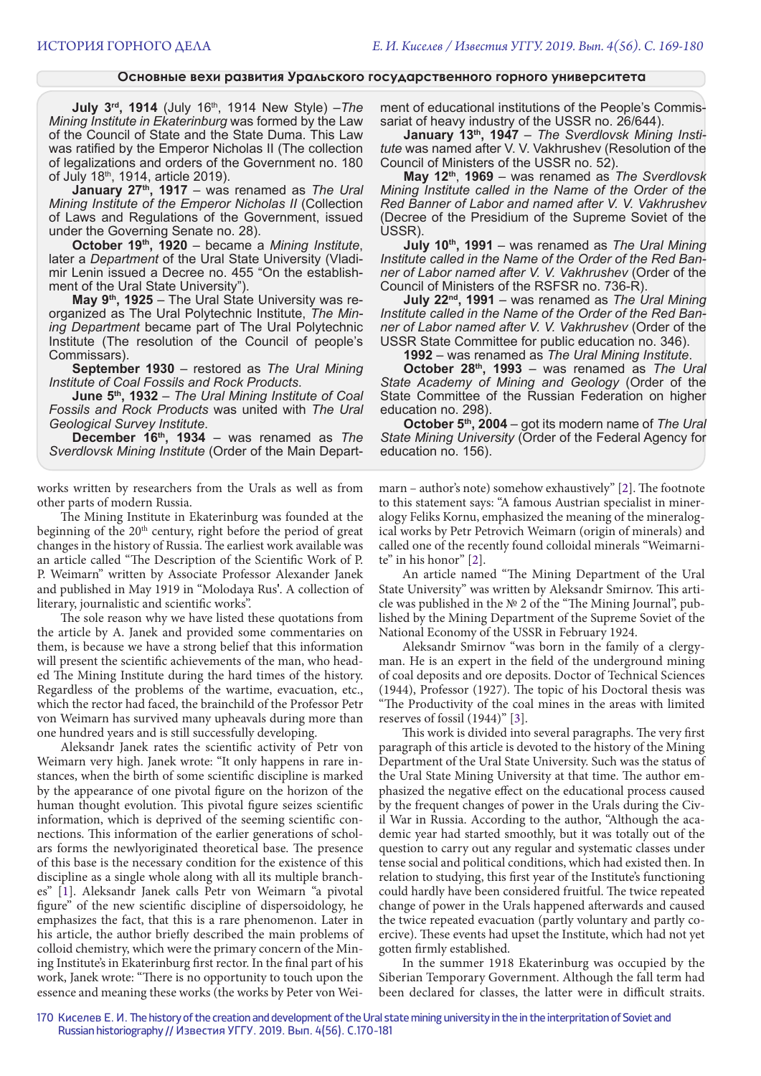#### **Основные вехи развития Уральского государственного горного университета**

**July 3rd, 1914** (July 16th, 1914 New Style) –*The Mining Institute in Ekaterinburg* was formed by the Law of the Council of State and the State Duma. This Law was ratified by the Emperor Nicholas II (The collection of legalizations and orders of the Government no. 180 of July 18<sup>th</sup>, 1914, article 2019).

**January 27th, 1917** – was renamed as *The Ural Mining Institute of the Emperor Nicholas II* (Collection of Laws and Regulations of the Government, issued under the Governing Senate no. 28).

**October 19th, 1920** – became a *Mining Institute*, later a *Department* of the Ural State University (Vladimir Lenin issued a Decree no. 455 "On the establishment of the Ural State University").

**May 9th, 1925** – The Ural State University was reorganized as The Ural Polytechnic Institute, *The Mining Department* became part of The Ural Polytechnic Institute (The resolution of the Council of people's Commissars).

**September 1930** – restored as *The Ural Mining Institute of Coal Fossils and Rock Products*.

**June 5th, 1932** – *The Ural Mining Institute of Coal Fossils and Rock Products* was united with *The Ural Geological Survey Institute*.

**December 16th, 1934** – was renamed as *The Sverdlovsk Mining Institute* (Order of the Main Depart-

works written by researchers from the Urals as well as from other parts of modern Russia.

The Mining Institute in Ekaterinburg was founded at the beginning of the 20<sup>th</sup> century, right before the period of great changes in the history of Russia. The earliest work available was an article called "The Description of the Scientific Work of P. P. Weimarn" written by Associate Professor Alexander Janek and published in May 1919 in "Molodaya Rus'. A collection of literary, journalistic and scientific works".

The sole reason why we have listed these quotations from the article by A. Janek and provided some commentaries on them, is because we have a strong belief that this information will present the scientific achievements of the man, who headed The Mining Institute during the hard times of the history. Regardless of the problems of the wartime, evacuation, etc., which the rector had faced, the brainchild of the Professor Petr von Weimarn has survived many upheavals during more than one hundred years and is still successfully developing.

Aleksandr Janek rates the scientific activity of Petr von Weimarn very high. Janek wrote: "It only happens in rare instances, when the birth of some scientific discipline is marked by the appearance of one pivotal figure on the horizon of the human thought evolution. This pivotal figure seizes scientific information, which is deprived of the seeming scientific connections. This information of the earlier generations of scholars forms the newlyoriginated theoretical base. The presence of this base is the necessary condition for the existence of this discipline as a single whole along with all its multiple branches" [1]. Aleksandr Janek calls Petr von Weimarn "a pivotal figure" of the new scientific discipline of dispersoidology, he emphasizes the fact, that this is a rare phenomenon. Later in his article, the author briefly described the main problems of colloid chemistry, which were the primary concern of the Mining Institute's in Ekaterinburg first rector. In the final part of his work, Janek wrote: "There is no opportunity to touch upon the essence and meaning these works (the works by Peter von Weiment of educational institutions of the People's Commissariat of heavy industry of the USSR no. 26/644).

**January 13th, 1947** – *The Sverdlovsk Mining Institute* was named after V. V. Vakhrushev (Resolution of the Council of Ministers of the USSR no. 52).

**May 12th**, **1969** – was renamed as *The Sverdlovsk Mining Institute called in the Name of the Order of the Red Banner of Labor and named after V. V. Vakhrushev* (Decree of the Presidium of the Supreme Soviet of the USSR).

**July 10th, 1991** – was renamed as *The Ural Mining Institute called in the Name of the Order of the Red Banner of Labor named after V. V. Vakhrushev* (Order of the Council of Ministers of the RSFSR no. 736-R).

**July 22nd, 1991** – was renamed as *The Ural Mining Institute called in the Name of the Order of the Red Banner of Labor named after V. V. Vakhrushev* (Order of the USSR State Committee for public education no. 346).

**1992** – was renamed as *The Ural Mining Institute*.

**October 28th, 1993** – was renamed as *The Ural State Academy of Mining and Geology* (Order of the State Committee of the Russian Federation on higher education no. 298).

**October 5th, 2004** – got its modern name of *The Ural State Mining University* (Order of the Federal Agency for education no. 156).

marn – author's note) somehow exhaustively" [2]. The footnote to this statement says: "A famous Austrian specialist in mineralogy Feliks Kornu, emphasized the meaning of the mineralogical works by Petr Petrovich Weimarn (origin of minerals) and called one of the recently found colloidal minerals "Weimarnite" in his honor" [2].

An article named "The Mining Department of the Ural State University" was written by Aleksandr Smirnov. This article was published in the № 2 of the "The Mining Journal", published by the Mining Department of the Supreme Soviet of the National Economy of the USSR in February 1924.

Aleksandr Smirnov "was born in the family of a clergyman. He is an expert in the field of the underground mining of coal deposits and ore deposits. Doctor of Technical Sciences (1944), Professor (1927). The topic of his Doctoral thesis was "The Productivity of the coal mines in the areas with limited reserves of fossil (1944)" [3].

This work is divided into several paragraphs. The very first paragraph of this article is devoted to the history of the Mining Department of the Ural State University. Such was the status of the Ural State Mining University at that time. The author emphasized the negative effect on the educational process caused by the frequent changes of power in the Urals during the Civil War in Russia. According to the author, "Although the academic year had started smoothly, but it was totally out of the question to carry out any regular and systematic classes under tense social and political conditions, which had existed then. In relation to studying, this first year of the Institute's functioning could hardly have been considered fruitful. The twice repeated change of power in the Urals happened afterwards and caused the twice repeated evacuation (partly voluntary and partly coercive). These events had upset the Institute, which had not yet gotten firmly established.

In the summer 1918 Ekaterinburg was occupied by the Siberian Temporary Government. Although the fall term had been declared for classes, the latter were in difficult straits.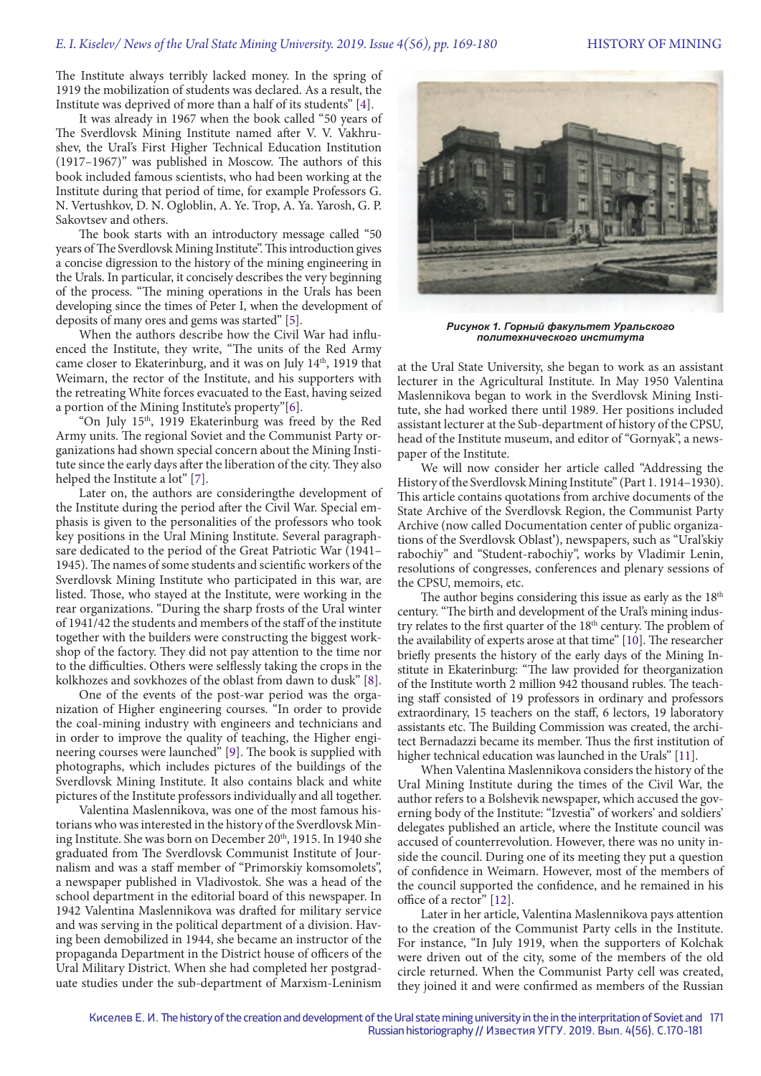The Institute always terribly lacked money. In the spring of 1919 the mobilization of students was declared. As a result, the Institute was deprived of more than a half of its students" [4].

It was already in 1967 when the book called "50 years of The Sverdlovsk Mining Institute named after V. V. Vakhrushev, the Ural's First Higher Technical Education Institution (1917–1967)" was published in Moscow. The authors of this book included famous scientists, who had been working at the Institute during that period of time, for example Professors G. N. Vertushkov, D. N. Ogloblin, A. Ye. Trop, A. Ya. Yarosh, G. P. Sakovtsev and others.

The book starts with an introductory message called "50 years of The Sverdlovsk Mining Institute". This introduction gives a concise digression to the history of the mining engineering in the Urals. In particular, it concisely describes the very beginning of the process. "The mining operations in the Urals has been developing since the times of Peter I, when the development of deposits of many ores and gems was started" [5].

When the authors describe how the Civil War had influenced the Institute, they write, "The units of the Red Army came closer to Ekaterinburg, and it was on July 14<sup>th</sup>, 1919 that Weimarn, the rector of the Institute, and his supporters with the retreating White forces evacuated to the East, having seized a portion of the Mining Institute's property"[6].

"On July 15th, 1919 Ekaterinburg was freed by the Red Army units. The regional Soviet and the Communist Party organizations had shown special concern about the Mining Institute since the early days after the liberation of the city. They also helped the Institute a lot" [7].

Later on, the authors are consideringthe development of the Institute during the period after the Civil War. Special emphasis is given to the personalities of the professors who took key positions in the Ural Mining Institute. Several paragraphsare dedicated to the period of the Great Patriotic War (1941– 1945). The names of some students and scientific workers of the Sverdlovsk Mining Institute who participated in this war, are listed. Those, who stayed at the Institute, were working in the rear organizations. "During the sharp frosts of the Ural winter of 1941/42 the students and members of the staff of the institute together with the builders were constructing the biggest workshop of the factory. They did not pay attention to the time nor to the difficulties. Others were selflessly taking the crops in the kolkhozes and sovkhozes of the oblast from dawn to dusk" [8].

One of the events of the post-war period was the organization of Higher engineering courses. "In order to provide the coal-mining industry with engineers and technicians and in order to improve the quality of teaching, the Higher engineering courses were launched" [9]. The book is supplied with photographs, which includes pictures of the buildings of the Sverdlovsk Mining Institute. It also contains black and white pictures of the Institute professors individually and all together.

Valentina Maslennikova, was one of the most famous historians who was interested in the history of the Sverdlovsk Mining Institute. She was born on December 20<sup>th</sup>, 1915. In 1940 she graduated from The Sverdlovsk Communist Institute of Journalism and was a staff member of "Primorskiy komsomolets", a newspaper published in Vladivostok. She was a head of the school department in the editorial board of this newspaper. In 1942 Valentina Maslennikova was drafted for military service and was serving in the political department of a division. Having been demobilized in 1944, she became an instructor of the propaganda Department in the District house of officers of the Ural Military District. When she had completed her postgraduate studies under the sub-department of Marxism-Leninism



*Рисунок 1. Горный факультет Уральского политехнического института*

at the Ural State University, she began to work as an assistant lecturer in the Agricultural Institute. In May 1950 Valentina Maslennikova began to work in the Sverdlovsk Mining Institute, she had worked there until 1989. Her positions included assistant lecturer at the Sub-department of history of the CPSU, head of the Institute museum, and editor of "Gornyak", a newspaper of the Institute.

We will now consider her article called "Addressing the History of the Sverdlovsk Mining Institute" (Part 1.1914-1930). This article contains quotations from archive documents of the State Archive of the Sverdlovsk Region, the Communist Party Archive (now called Documentation center of public organizations of the Sverdlovsk Oblast'), newspapers, such as "Ural'skiy rabochiy" and "Student-rabochiy", works by Vladimir Lenin, resolutions of congresses, conferences and plenary sessions of the CPSU, memoirs, etc.

The author begins considering this issue as early as the 18<sup>th</sup> century. "The birth and development of the Ural's mining industry relates to the first quarter of the 18<sup>th</sup> century. The problem of the availability of experts arose at that time" [10]. The researcher briefly presents the history of the early days of the Mining Institute in Ekaterinburg: "The law provided for theorganization of the Institute worth 2 million 942 thousand rubles. The teaching staff consisted of 19 professors in ordinary and professors extraordinary, 15 teachers on the staff, 6 lectors, 19 laboratory assistants etc. The Building Commission was created, the architect Bernadazzi became its member. Thus the first institution of higher technical education was launched in the Urals" [11].

When Valentina Maslennikova considers the history of the Ural Mining Institute during the times of the Civil War, the author refers to a Bolshevik newspaper, which accused the governing body of the Institute: "Izvestia" of workers' and soldiers' delegates published an article, where the Institute council was accused of counterrevolution. However, there was no unity inside the council. During one of its meeting they put a question of confidence in Weimarn. However, most of the members of the council supported the confidence, and he remained in his office of a rector" [12].

Later in her article, Valentina Maslennikova pays attention to the creation of the Communist Party cells in the Institute. For instance, "In July 1919, when the supporters of Kolchak were driven out of the city, some of the members of the old circle returned. When the Communist Party cell was created, they joined it and were confirmed as members of the Russian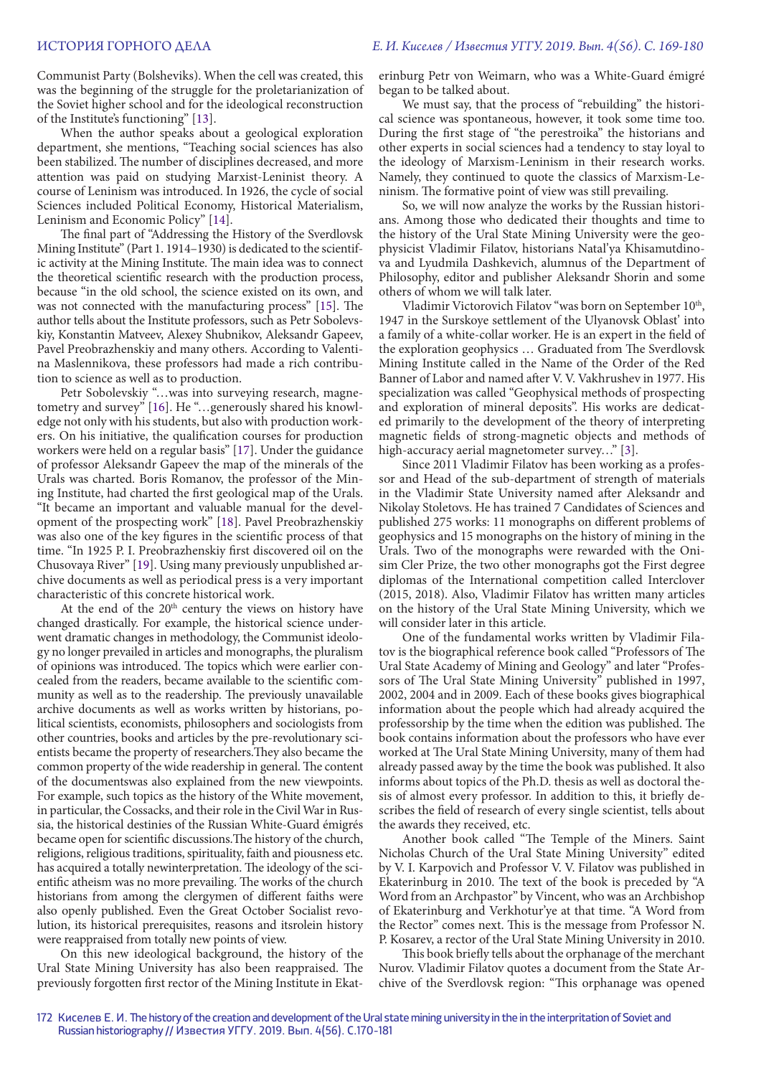Communist Party (Bolsheviks). When the cell was created, this was the beginning of the struggle for the proletarianization of the Soviet higher school and for the ideological reconstruction of the Institute's functioning" [13].

When the author speaks about a geological exploration department, she mentions, "Teaching social sciences has also been stabilized. The number of disciplines decreased, and more attention was paid on studying Marxist-Leninist theory. A course of Leninism was introduced. In 1926, the cycle of social Sciences included Political Economy, Historical Materialism, Leninism and Economic Policy" [14].

The final part of "Addressing the History of the Sverdlovsk Mining Institute" (Part 1. 1914–1930) is dedicated to the scientific activity at the Mining Institute. The main idea was to connect the theoretical scientific research with the production process, because "in the old school, the science existed on its own, and was not connected with the manufacturing process" [15]. The author tells about the Institute professors, such as Petr Sobolevskiy, Konstantin Matveev, Alexey Shubnikov, Aleksandr Gapeev, Pavel Preobrazhenskiy and many others. According to Valentina Maslennikova, these professors had made a rich contribution to science as well as to production.

Petr Sobolevskiy "…was into surveying research, magnetometry and survey" [16]. He "...generously shared his knowledge not only with his students, but also with production workers. On his initiative, the qualification courses for production workers were held on a regular basis" [17]. Under the guidance of professor Aleksandr Gapeev the map of the minerals of the Urals was charted. Boris Romanov, the professor of the Mining Institute, had charted the first geological map of the Urals. "It became an important and valuable manual for the development of the prospecting work" [18]. Pavel Preobrazhenskiy was also one of the key figures in the scientific process of that time. "In 1925 P. I. Preobrazhenskiy first discovered oil on the Chusovaya River" [19]. Using many previously unpublished archive documents as well as periodical press is a very important characteristic of this concrete historical work.

At the end of the  $20<sup>th</sup>$  century the views on history have changed drastically. For example, the historical science underwent dramatic changes in methodology, the Communist ideology no longer prevailed in articles and monographs, the pluralism of opinions was introduced. The topics which were earlier concealed from the readers, became available to the scientific community as well as to the readership. The previously unavailable archive documents as well as works written by historians, political scientists, economists, philosophers and sociologists from other countries, books and articles by the pre-revolutionary scientists became the property of researchers.They also became the common property of the wide readership in general. The content of the documentswas also explained from the new viewpoints. For example, such topics as the history of the White movement, in particular, the Cossacks, and their role in the Civil War in Russia, the historical destinies of the Russian White-Guard émigrés became open for scientific discussions.The history of the church, religions, religious traditions, spirituality, faith and piousness etc. has acquired a totally newinterpretation. The ideology of the scientific atheism was no more prevailing. The works of the church historians from among the clergymen of different faiths were also openly published. Even the Great October Socialist revolution, its historical prerequisites, reasons and itsrolein history were reappraised from totally new points of view.

On this new ideological background, the history of the Ural State Mining University has also been reappraised. The previously forgotten first rector of the Mining Institute in Ekaterinburg Petr von Weimarn, who was a White-Guard émigré began to be talked about.

We must say, that the process of "rebuilding" the historical science was spontaneous, however, it took some time too. During the first stage of "the perestroika" the historians and other experts in social sciences had a tendency to stay loyal to the ideology of Marxism-Leninism in their research works. Namely, they continued to quote the classics of Marxism-Leninism. The formative point of view was still prevailing.

So, we will now analyze the works by the Russian historians. Among those who dedicated their thoughts and time to the history of the Ural State Mining University were the geophysicist Vladimir Filatov, historians Natal'ya Khisamutdinova and Lyudmila Dashkevich, alumnus of the Department of Philosophy, editor and publisher Aleksandr Shorin and some others of whom we will talk later.

Vladimir Victorovich Filatov "was born on September  $10<sup>th</sup>$ , 1947 in the Surskoye settlement of the Ulyanovsk Oblast' into a family of a white-collar worker. He is an expert in the field of the exploration geophysics … Graduated from The Sverdlovsk Mining Institute called in the Name of the Order of the Red Banner of Labor and named after V. V. Vakhrushev in 1977. His specialization was called "Geophysical methods of prospecting and exploration of mineral deposits". His works are dedicated primarily to the development of the theory of interpreting magnetic fields of strong-magnetic objects and methods of high-accuracy aerial magnetometer survey…" [3].

Since 2011 Vladimir Filatov has been working as a professor and Head of the sub-department of strength of materials in the Vladimir State University named after Aleksandr and Nikolay Stoletovs. He has trained 7 Candidates of Sciences and published 275 works: 11 monographs on different problems of geophysics and 15 monographs on the history of mining in the Urals. Two of the monographs were rewarded with the Onisim Cler Prize, the two other monographs got the First degree diplomas of the International competition called Interclover (2015, 2018). Also, Vladimir Filatov has written many articles on the history of the Ural State Mining University, which we will consider later in this article.

One of the fundamental works written by Vladimir Filatov is the biographical reference book called "Professors of The Ural State Academy of Mining and Geology" and later "Professors of The Ural State Mining University" published in 1997, 2002, 2004 and in 2009. Each of these books gives biographical information about the people which had already acquired the professorship by the time when the edition was published. The book contains information about the professors who have ever worked at The Ural State Mining University, many of them had already passed away by the time the book was published. It also informs about topics of the Ph.D. thesis as well as doctoral thesis of almost every professor. In addition to this, it briefly describes the field of research of every single scientist, tells about the awards they received, etc.

Another book called "The Temple of the Miners. Saint Nicholas Church of the Ural State Mining University" edited by V. I. Karpovich and Professor V. V. Filatov was published in Ekaterinburg in 2010. The text of the book is preceded by "A Word from an Archpastor" by Vincent, who was an Archbishop of Ekaterinburg and Verkhotur'ye at that time. "A Word from the Rector" comes next. This is the message from Professor N. P. Kosarev, a rector of the Ural State Mining University in 2010.

This book briefly tells about the orphanage of the merchant Nurov. Vladimir Filatov quotes a document from the State Archive of the Sverdlovsk region: "This orphanage was opened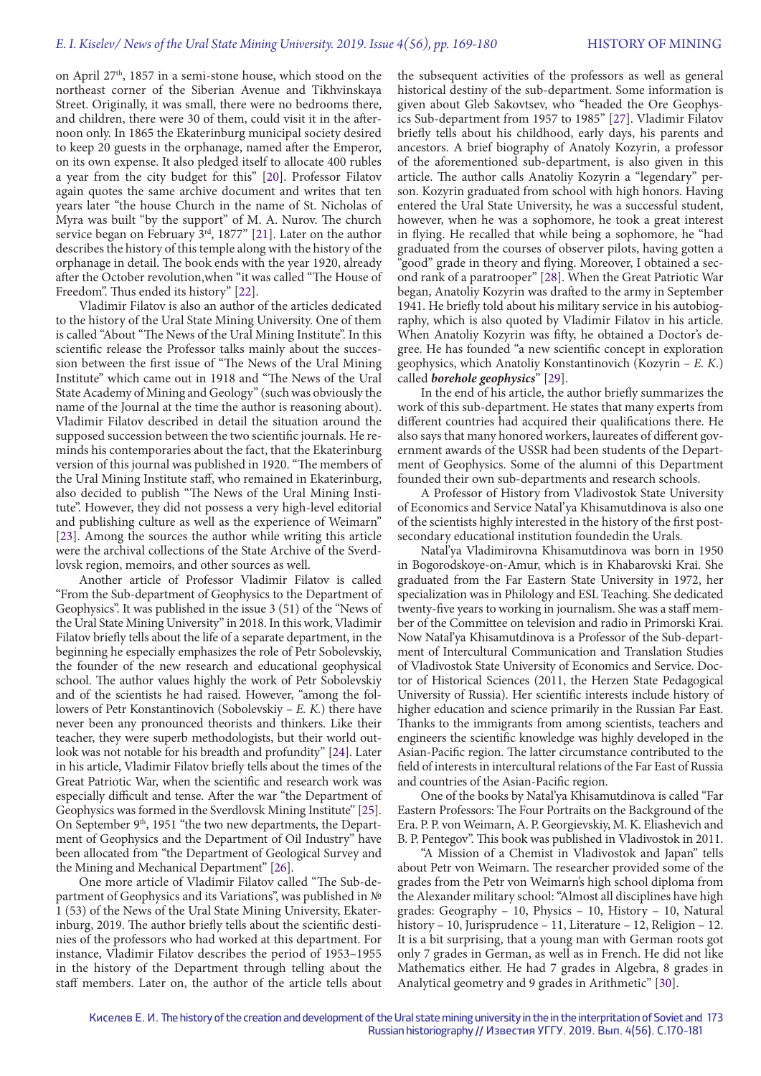on April 27<sup>th</sup>, 1857 in a semi-stone house, which stood on the northeast corner of the Siberian Avenue and Tikhvinskaya Street. Originally, it was small, there were no bedrooms there, and children, there were 30 of them, could visit it in the afternoon only. In 1865 the Ekaterinburg municipal society desired to keep 20 guests in the orphanage, named after the Emperor, on its own expense. It also pledged itself to allocate 400 rubles a year from the city budget for this" [20]. Professor Filatov again quotes the same archive document and writes that ten years later "the house Church in the name of St. Nicholas of Myra was built "by the support" of M. A. Nurov. The church service began on February  $3<sup>rd</sup>$ , 1877" [21]. Later on the author describes the history of this temple along with the history of the orphanage in detail. The book ends with the year 1920, already after the October revolution,when "it was called "The House of Freedom". Thus ended its history" [22].

Vladimir Filatov is also an author of the articles dedicated to the history of the Ural State Mining University. One of them is called "About "The News of the Ural Mining Institute". In this scientific release the Professor talks mainly about the succession between the first issue of "The News of the Ural Mining Institute" which came out in 1918 and "The News of the Ural State Academy of Mining and Geology" (such was obviously the name of the Journal at the time the author is reasoning about). Vladimir Filatov described in detail the situation around the supposed succession between the two scientific journals. He reminds his contemporaries about the fact, that the Ekaterinburg version of this journal was published in 1920. "The members of the Ural Mining Institute staff, who remained in Ekaterinburg, also decided to publish "The News of the Ural Mining Institute". However, they did not possess a very high-level editorial and publishing culture as well as the experience of Weimarn" [23]. Among the sources the author while writing this article were the archival collections of the State Archive of the Sverdlovsk region, memoirs, and other sources as well.

Another article of Professor Vladimir Filatov is called "From the Sub-department of Geophysics to the Department of Geophysics". It was published in the issue 3 (51) of the "News of the Ural State Mining University" in 2018. In this work, Vladimir Filatov briefly tells about the life of a separate department, in the beginning he especially emphasizes the role of Petr Sobolevskiy, the founder of the new research and educational geophysical school. The author values highly the work of Petr Sobolevskiy and of the scientists he had raised. However, "among the followers of Petr Konstantinovich (Sobolevskiy – *E. K.*) there have never been any pronounced theorists and thinkers. Like their teacher, they were superb methodologists, but their world outlook was not notable for his breadth and profundity" [24]. Later in his article, Vladimir Filatov briefly tells about the times of the Great Patriotic War, when the scientific and research work was especially difficult and tense. After the war "the Department of Geophysics was formed in the Sverdlovsk Mining Institute" [25]. On September 9<sup>th</sup>, 1951 "the two new departments, the Department of Geophysics and the Department of Oil Industry" have been allocated from "the Department of Geological Survey and the Mining and Mechanical Department" [26].

One more article of Vladimir Filatov called "The Sub-department of Geophysics and its Variations", was published in № 1 (53) of the News of the Ural State Mining University, Ekaterinburg, 2019. The author briefly tells about the scientific destinies of the professors who had worked at this department. For instance, Vladimir Filatov describes the period of 1953–1955 in the history of the Department through telling about the staff members. Later on, the author of the article tells about

the subsequent activities of the professors as well as general historical destiny of the sub-department. Some information is given about Gleb Sakovtsev, who "headed the Ore Geophysics Sub-department from 1957 to 1985" [27]. Vladimir Filatov briefly tells about his childhood, early days, his parents and ancestors. A brief biography of Anatoly Kozyrin, a professor of the aforementioned sub-department, is also given in this article. The author calls Anatoliy Kozyrin a "legendary" person. Kozyrin graduated from school with high honors. Having entered the Ural State University, he was a successful student, however, when he was a sophomore, he took a great interest in flying. He recalled that while being a sophomore, he "had graduated from the courses of observer pilots, having gotten a "good" grade in theory and flying. Moreover, I obtained a second rank of a paratrooper" [28]. When the Great Patriotic War began, Anatoliy Kozyrin was drafted to the army in September 1941. He briefly told about his military service in his autobiography, which is also quoted by Vladimir Filatov in his article. When Anatoliy Kozyrin was fifty, he obtained a Doctor's degree. He has founded "a new scientific concept in exploration geophysics, which Anatoliy Konstantinovich (Kozyrin – *E. K*.) called *borehole geophysics*" [29].

In the end of his article, the author briefly summarizes the work of this sub-department. He states that many experts from different countries had acquired their qualifications there. He also says that many honored workers, laureates of different government awards of the USSR had been students of the Department of Geophysics. Some of the alumni of this Department founded their own sub-departments and research schools.

A Professor of History from Vladivostok State University of Economics and Service Natal'ya Khisamutdinova is also one of the scientists highly interested in the history of the first postsecondary educational institution foundedin the Urals.

Natal'ya Vladimirovna Khisamutdinova was born in 1950 in Bogorodskoye-on-Amur, which is in Khabarovski Krai. She graduated from the Far Eastern State University in 1972, her specialization was in Philology and ESL Teaching. She dedicated twenty-five years to working in journalism. She was a staff member of the Committee on television and radio in Primorski Krai. Now Natal'ya Khisamutdinova is a Professor of the Sub-department of Intercultural Communication and Translation Studies of Vladivostok State University of Economics and Service. Doctor of Historical Sciences (2011, the Herzen State Pedagogical University of Russia). Her scientific interests include history of higher education and science primarily in the Russian Far East. Thanks to the immigrants from among scientists, teachers and engineers the scientific knowledge was highly developed in the Asian-Pacific region. The latter circumstance contributed to the field of interests in intercultural relations of the Far East of Russia and countries of the Asian-Pacific region.

One of the books by Natal'ya Khisamutdinova is called "Far Eastern Professors: The Four Portraits on the Background of the Era. P. P. von Weimarn, A. P. Georgievskiy, M. K. Eliashevich and B. P. Pentegov". This book was published in Vladivostok in 2011.

"A Mission of a Chemist in Vladivostok and Japan" tells about Petr von Weimarn. The researcher provided some of the grades from the Petr von Weimarn's high school diploma from the Alexander military school: "Almost all disciplines have high grades: Geography – 10, Physics – 10, History – 10, Natural history – 10, Jurisprudence – 11, Literature – 12, Religion – 12. It is a bit surprising, that a young man with German roots got only 7 grades in German, as well as in French. He did not like Mathematics either. He had 7 grades in Algebra, 8 grades in Analytical geometry and 9 grades in Arithmetic" [30].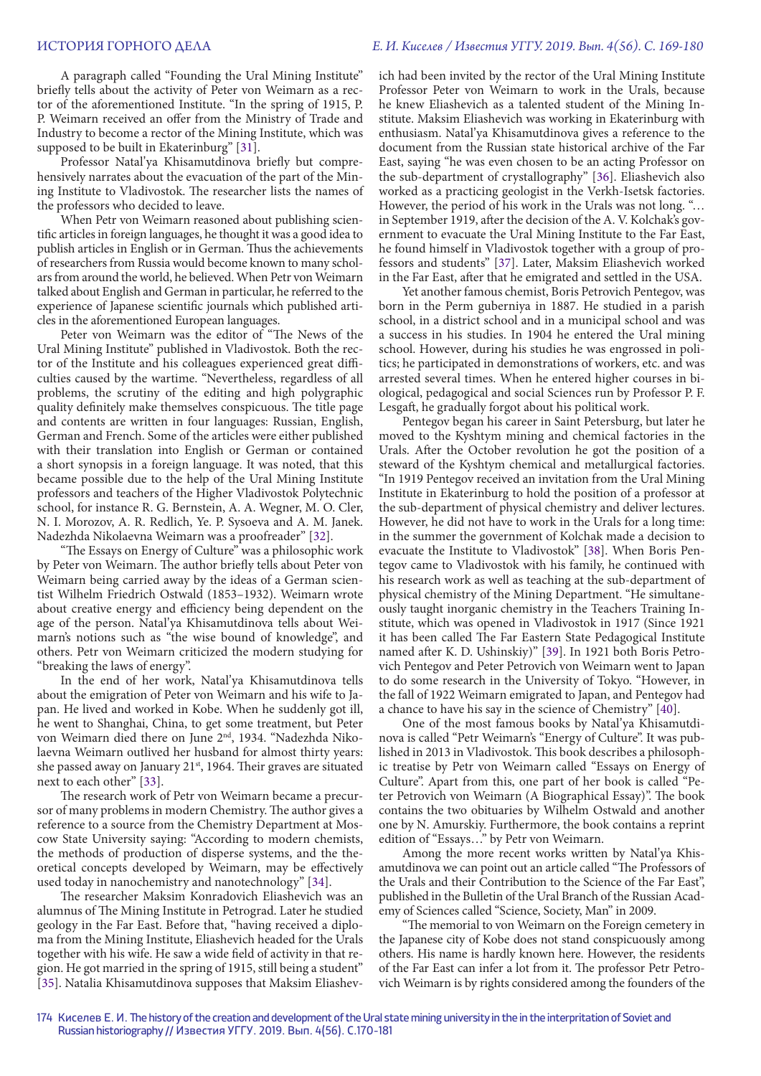A paragraph called "Founding the Ural Mining Institute" briefly tells about the activity of Peter von Weimarn as a rector of the aforementioned Institute. "In the spring of 1915, P. P. Weimarn received an offer from the Ministry of Trade and Industry to become a rector of the Mining Institute, which was supposed to be built in Ekaterinburg" [31].

Professor Natal'ya Khisamutdinova briefly but comprehensively narrates about the evacuation of the part of the Mining Institute to Vladivostok. The researcher lists the names of the professors who decided to leave.

When Petr von Weimarn reasoned about publishing scientific articles in foreign languages, he thought it was a good idea to publish articles in English or in German. Thus the achievements of researchers from Russia would become known to many scholars from around the world, he believed. When Petr von Weimarn talked about English and German in particular, he referred to the experience of Japanese scientific journals which published articles in the aforementioned European languages.

Peter von Weimarn was the editor of "The News of the Ural Mining Institute" published in Vladivostok. Both the rector of the Institute and his colleagues experienced great difficulties caused by the wartime. "Nevertheless, regardless of all problems, the scrutiny of the editing and high polygraphic quality definitely make themselves conspicuous. The title page and contents are written in four languages: Russian, English, German and French. Some of the articles were either published with their translation into English or German or contained a short synopsis in a foreign language. It was noted, that this became possible due to the help of the Ural Mining Institute professors and teachers of the Higher Vladivostok Polytechnic school, for instance R. G. Bernstein, A. A. Wegner, M. O. Cler, N. I. Morozov, A. R. Redlich, Ye. P. Sysoeva and A. M. Janek. Nadezhda Nikolaevna Weimarn was a proofreader" [32].

"The Essays on Energy of Culture" was a philosophic work by Peter von Weimarn. The author briefly tells about Peter von Weimarn being carried away by the ideas of a German scientist Wilhelm Friedrich Ostwald (1853–1932). Weimarn wrote about creative energy and efficiency being dependent on the age of the person. Natal'ya Khisamutdinova tells about Weimarn's notions such as "the wise bound of knowledge", and others. Petr von Weimarn criticized the modern studying for "breaking the laws of energy".

In the end of her work, Natal'ya Khisamutdinova tells about the emigration of Peter von Weimarn and his wife to Japan. He lived and worked in Kobe. When he suddenly got ill, he went to Shanghai, China, to get some treatment, but Peter von Weimarn died there on June 2nd, 1934. "Nadezhda Nikolaevna Weimarn outlived her husband for almost thirty years: she passed away on January 21<sup>st</sup>, 1964. Their graves are situated next to each other" [33].

The research work of Petr von Weimarn became a precursor of many problems in modern Chemistry. The author gives a reference to a source from the Chemistry Department at Moscow State University saying: "According to modern chemists, the methods of production of disperse systems, and the theoretical concepts developed by Weimarn, may be effectively used today in nanochemistry and nanotechnology" [34].

The researcher Maksim Konradovich Eliashevich was an alumnus of The Mining Institute in Petrograd. Later he studied geology in the Far East. Before that, "having received a diploma from the Mining Institute, Eliashevich headed for the Urals together with his wife. He saw a wide field of activity in that region. He got married in the spring of 1915, still being a student" [35]. Natalia Khisamutdinova supposes that Maksim Eliashevich had been invited by the rector of the Ural Mining Institute Professor Peter von Weimarn to work in the Urals, because he knew Eliashevich as a talented student of the Mining Institute. Maksim Eliashevich was working in Ekaterinburg with enthusiasm. Natal'ya Khisamutdinova gives a reference to the document from the Russian state historical archive of the Far East, saying "he was even chosen to be an acting Professor on the sub-department of crystallography" [36]. Eliashevich also worked as a practicing geologist in the Verkh-Isetsk factories. However, the period of his work in the Urals was not long. "… in September 1919, after the decision of the A. V. Kolchak's government to evacuate the Ural Mining Institute to the Far East, he found himself in Vladivostok together with a group of professors and students" [37]. Later, Maksim Eliashevich worked in the Far East, after that he emigrated and settled in the USA.

Yet another famous chemist, Boris Petrovich Pentegov, was born in the Perm guberniya in 1887. He studied in a parish school, in a district school and in a municipal school and was a success in his studies. In 1904 he entered the Ural mining school. However, during his studies he was engrossed in politics; he participated in demonstrations of workers, etc. and was arrested several times. When he entered higher courses in biological, pedagogical and social Sciences run by Professor P. F. Lesgaft, he gradually forgot about his political work.

Pentegov began his career in Saint Petersburg, but later he moved to the Kyshtym mining and chemical factories in the Urals. After the October revolution he got the position of a steward of the Kyshtym chemical and metallurgical factories. "In 1919 Pentegov received an invitation from the Ural Mining Institute in Ekaterinburg to hold the position of a professor at the sub-department of physical chemistry and deliver lectures. However, he did not have to work in the Urals for a long time: in the summer the government of Kolchak made a decision to evacuate the Institute to Vladivostok" [38]. When Boris Pentegov came to Vladivostok with his family, he continued with his research work as well as teaching at the sub-department of physical chemistry of the Mining Department. "He simultaneously taught inorganic chemistry in the Teachers Training Institute, which was opened in Vladivostok in 1917 (Since 1921 it has been called The Far Eastern State Pedagogical Institute named after K. D. Ushinskiy)" [39]. In 1921 both Boris Petrovich Pentegov and Peter Petrovich von Weimarn went to Japan to do some research in the University of Tokyo. "However, in the fall of 1922 Weimarn emigrated to Japan, and Pentegov had a chance to have his say in the science of Chemistry" [40].

One of the most famous books by Natal'ya Khisamutdinova is called "Petr Weimarn's "Energy of Culture". It was published in 2013 in Vladivostok. This book describes a philosophic treatise by Petr von Weimarn called "Essays on Energy of Culture". Apart from this, one part of her book is called "Peter Petrovich von Weimarn (A Biographical Essay)". The book contains the two obituaries by Wilhelm Ostwald and another one by N. Amurskiy. Furthermore, the book contains a reprint edition of "Essays…" by Petr von Weimarn.

Among the more recent works written by Natal'ya Khisamutdinova we can point out an article called "The Professors of the Urals and their Contribution to the Science of the Far East", published in the Bulletin of the Ural Branch of the Russian Academy of Sciences called "Science, Society, Man" in 2009.

"The memorial to von Weimarn on the Foreign cemetery in the Japanese city of Kobe does not stand conspicuously among others. His name is hardly known here. However, the residents of the Far East can infer a lot from it. The professor Petr Petrovich Weimarn is by rights considered among the founders of the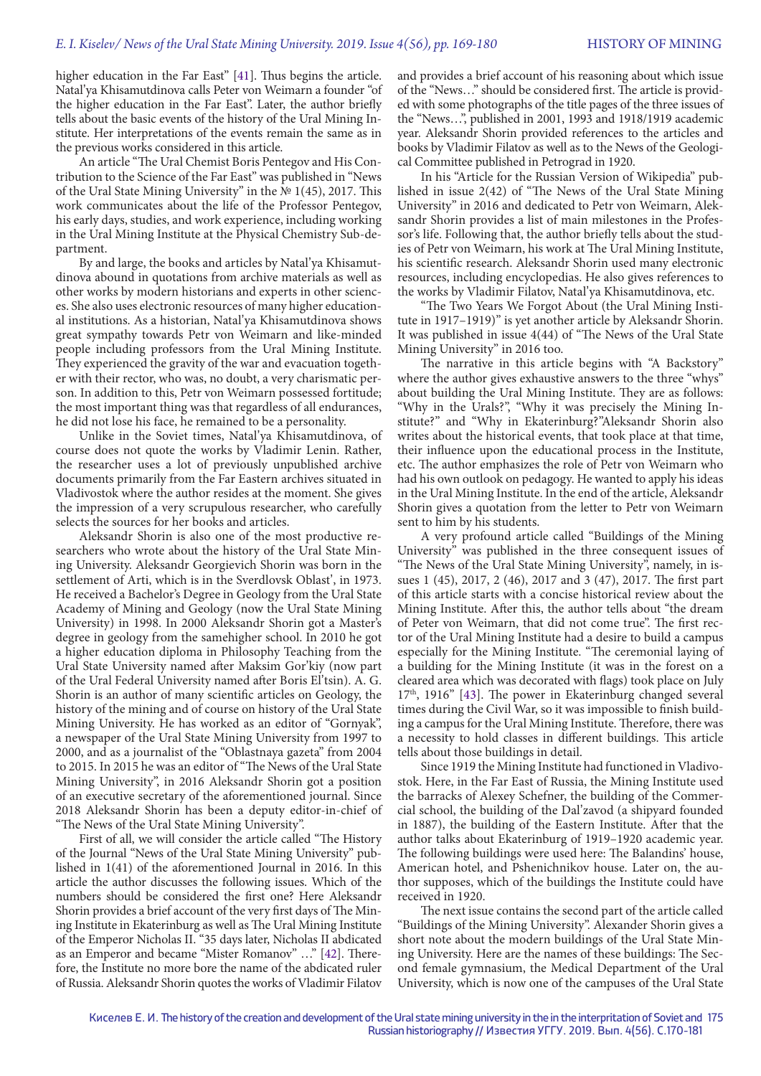higher education in the Far East" [41]. Thus begins the article. Natal'ya Khisamutdinova calls Peter von Weimarn a founder "of the higher education in the Far East". Later, the author briefly tells about the basic events of the history of the Ural Mining Institute. Her interpretations of the events remain the same as in the previous works considered in this article.

An article "The Ural Chemist Boris Pentegov and His Contribution to the Science of the Far East" was published in "News of the Ural State Mining University" in the № 1(45), 2017. This work communicates about the life of the Professor Pentegov, his early days, studies, and work experience, including working in the Ural Mining Institute at the Physical Chemistry Sub-department.

By and large, the books and articles by Natal'ya Khisamutdinova abound in quotations from archive materials as well as other works by modern historians and experts in other sciences. She also uses electronic resources of many higher educational institutions. As a historian, Natal'ya Khisamutdinova shows great sympathy towards Petr von Weimarn and like-minded people including professors from the Ural Mining Institute. They experienced the gravity of the war and evacuation together with their rector, who was, no doubt, a very charismatic person. In addition to this, Petr von Weimarn possessed fortitude; the most important thing was that regardless of all endurances, he did not lose his face, he remained to be a personality.

Unlike in the Soviet times, Natal'ya Khisamutdinova, of course does not quote the works by Vladimir Lenin. Rather, the researcher uses a lot of previously unpublished archive documents primarily from the Far Eastern archives situated in Vladivostok where the author resides at the moment. She gives the impression of a very scrupulous researcher, who carefully selects the sources for her books and articles.

Aleksandr Shorin is also one of the most productive researchers who wrote about the history of the Ural State Mining University. Aleksandr Georgievich Shorin was born in the settlement of Arti, which is in the Sverdlovsk Oblast', in 1973. He received a Bachelor's Degree in Geology from the Ural State Academy of Mining and Geology (now the Ural State Mining University) in 1998. In 2000 Aleksandr Shorin got a Master's degree in geology from the samehigher school. In 2010 he got a higher education diploma in Philosophy Teaching from the Ural State University named after Maksim Gor'kiy (now part of the Ural Federal University named after Boris El'tsin). A. G. Shorin is an author of many scientific articles on Geology, the history of the mining and of course on history of the Ural State Mining University. He has worked as an editor of "Gornyak", a newspaper of the Ural State Mining University from 1997 to 2000, and as a journalist of the "Oblastnaya gazeta" from 2004 to 2015. In 2015 he was an editor of "The News of the Ural State Mining University", in 2016 Aleksandr Shorin got a position of an executive secretary of the aforementioned journal. Since 2018 Aleksandr Shorin has been a deputy editor-in-chief of "The News of the Ural State Mining University".

First of all, we will consider the article called "The History of the Journal "News of the Ural State Mining University" published in 1(41) of the aforementioned Journal in 2016. In this article the author discusses the following issues. Which of the numbers should be considered the first one? Here Aleksandr Shorin provides a brief account of the very first days of The Mining Institute in Ekaterinburg as well as The Ural Mining Institute of the Emperor Nicholas II. "35 days later, Nicholas II abdicated as an Emperor and became "Mister Romanov" …" [42]. Therefore, the Institute no more bore the name of the abdicated ruler of Russia. Aleksandr Shorin quotes the works of Vladimir Filatov

and provides a brief account of his reasoning about which issue of the "News…" should be considered first. The article is provided with some photographs of the title pages of the three issues of the "News…", published in 2001, 1993 and 1918/1919 academic year. Aleksandr Shorin provided references to the articles and books by Vladimir Filatov as well as to the News of the Geological Committee published in Petrograd in 1920.

In his "Article for the Russian Version of Wikipedia" published in issue 2(42) of "The News of the Ural State Mining University" in 2016 and dedicated to Petr von Weimarn, Aleksandr Shorin provides a list of main milestones in the Professor's life. Following that, the author briefly tells about the studies of Petr von Weimarn, his work at The Ural Mining Institute, his scientific research. Aleksandr Shorin used many electronic resources, including encyclopedias. He also gives references to the works by Vladimir Filatov, Natal'ya Khisamutdinova, etc.

"The Two Years We Forgot About (the Ural Mining Institute in 1917–1919)" is yet another article by Aleksandr Shorin. It was published in issue 4(44) of "The News of the Ural State Mining University" in 2016 too.

The narrative in this article begins with "A Backstory" where the author gives exhaustive answers to the three "whys" about building the Ural Mining Institute. They are as follows: "Why in the Urals?", "Why it was precisely the Mining Institute?" and "Why in Ekaterinburg?"Aleksandr Shorin also writes about the historical events, that took place at that time, their influence upon the educational process in the Institute, etc. The author emphasizes the role of Petr von Weimarn who had his own outlook on pedagogy. He wanted to apply his ideas in the Ural Mining Institute. In the end of the article, Aleksandr Shorin gives a quotation from the letter to Petr von Weimarn sent to him by his students.

A very profound article called "Buildings of the Mining University" was published in the three consequent issues of "The News of the Ural State Mining University", namely, in issues 1 (45), 2017, 2 (46), 2017 and 3 (47), 2017. The first part of this article starts with a concise historical review about the Mining Institute. After this, the author tells about "the dream of Peter von Weimarn, that did not come true". The first rector of the Ural Mining Institute had a desire to build a campus especially for the Mining Institute. "The ceremonial laying of a building for the Mining Institute (it was in the forest on a cleared area which was decorated with flags) took place on July  $17<sup>th</sup>$ , 1916" [43]. The power in Ekaterinburg changed several times during the Civil War, so it was impossible to finish building a campus for the Ural Mining Institute. Therefore, there was a necessity to hold classes in different buildings. This article tells about those buildings in detail.

Since 1919 the Mining Institute had functioned in Vladivostok. Here, in the Far East of Russia, the Mining Institute used the barracks of Alexey Schefner, the building of the Commercial school, the building of the Dal'zavod (a shipyard founded in 1887), the building of the Eastern Institute. After that the author talks about Ekaterinburg of 1919–1920 academic year. The following buildings were used here: The Balandins' house, American hotel, and Pshenichnikov house. Later on, the author supposes, which of the buildings the Institute could have received in 1920.

The next issue contains the second part of the article called "Buildings of the Mining University". Alexander Shorin gives a short note about the modern buildings of the Ural State Mining University. Here are the names of these buildings: The Second female gymnasium, the Medical Department of the Ural University, which is now one of the campuses of the Ural State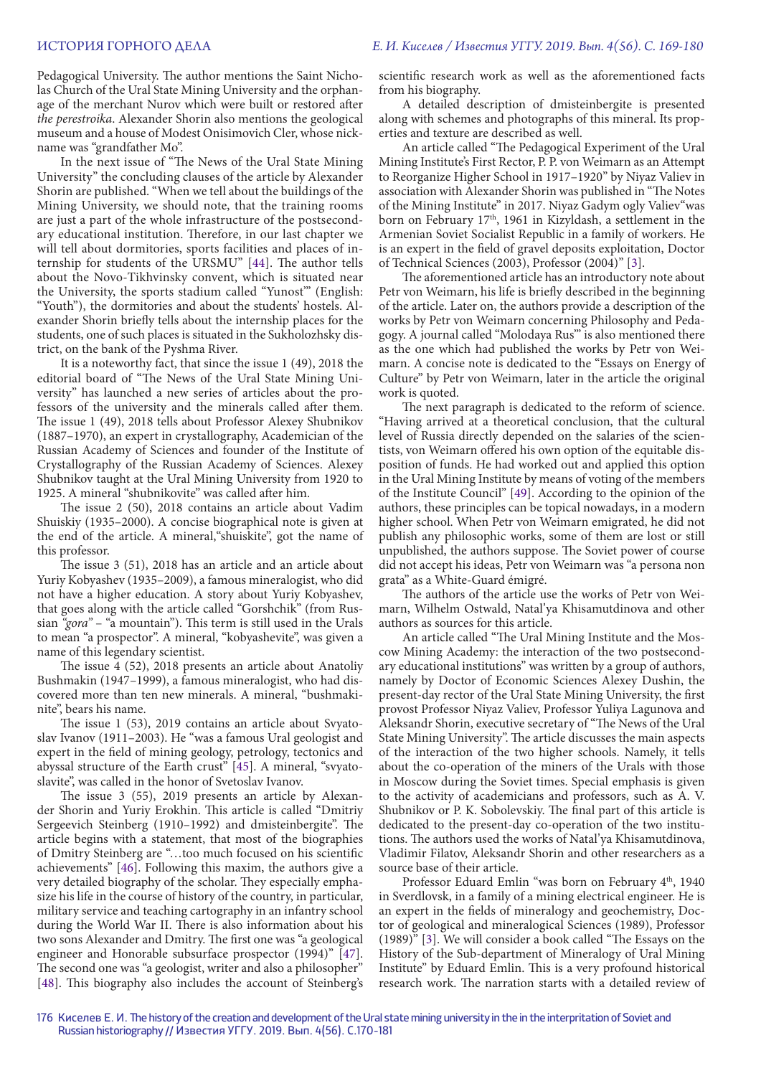Pedagogical University. The author mentions the Saint Nicholas Church of the Ural State Mining University and the orphanage of the merchant Nurov which were built or restored after *the perestroika*. Alexander Shorin also mentions the geological museum and a house of Modest Onisimovich Cler, whose nickname was "grandfather Mo".

In the next issue of "The News of the Ural State Mining University" the concluding clauses of the article by Alexander Shorin are published. "When we tell about the buildings of the Mining University, we should note, that the training rooms are just a part of the whole infrastructure of the postsecondary educational institution. Therefore, in our last chapter we will tell about dormitories, sports facilities and places of internship for students of the URSMU" [44]. The author tells about the Novo-Tikhvinsky convent, which is situated near the University, the sports stadium called "Yunost'" (English: "Youth"), the dormitories and about the students' hostels. Alexander Shorin briefly tells about the internship places for the students, one of such places is situated in the Sukholozhsky district, on the bank of the Pyshma River.

It is a noteworthy fact, that since the issue 1 (49), 2018 the editorial board of "The News of the Ural State Mining University" has launched a new series of articles about the professors of the university and the minerals called after them. The issue 1 (49), 2018 tells about Professor Alexey Shubnikov (1887–1970), an expert in crystallography, Academician of the Russian Academy of Sciences and founder of the Institute of Crystallography of the Russian Academy of Sciences. Alexey Shubnikov taught at the Ural Mining University from 1920 to 1925. A mineral "shubnikovite" was called after him.

The issue 2 (50), 2018 contains an article about Vadim Shuiskiy (1935–2000). A concise biographical note is given at the end of the article. A mineral,"shuiskite", got the name of this professor.

The issue 3 (51), 2018 has an article and an article about Yuriy Kobyashev (1935–2009), a famous mineralogist, who did not have a higher education. A story about Yuriy Kobyashev, that goes along with the article called "Gorshchik" (from Russian *"gora"* – "a mountain"). This term is still used in the Urals to mean "a prospector". A mineral, "kobyashevite", was given a name of this legendary scientist.

The issue 4 (52), 2018 presents an article about Anatoliy Bushmakin (1947–1999), a famous mineralogist, who had discovered more than ten new minerals. A mineral, "bushmakinite", bears his name.

The issue 1 (53), 2019 contains an article about Svyatoslav Ivanov (1911–2003). He "was a famous Ural geologist and expert in the field of mining geology, petrology, tectonics and abyssal structure of the Earth crust" [45]. A mineral, "svyatoslavite", was called in the honor of Svetoslav Ivanov.

The issue 3 (55), 2019 presents an article by Alexander Shorin and Yuriy Erokhin. This article is called "Dmitriy Sergeevich Steinberg (1910–1992) and dmisteinbergite". The article begins with a statement, that most of the biographies of Dmitry Steinberg are "…too much focused on his scientific achievements" [46]. Following this maxim, the authors give a very detailed biography of the scholar. They especially emphasize his life in the course of history of the country, in particular, military service and teaching cartography in an infantry school during the World War II. There is also information about his two sons Alexander and Dmitry. The first one was "a geological engineer and Honorable subsurface prospector (1994)" [47]. The second one was "a geologist, writer and also a philosopher" [48]. This biography also includes the account of Steinberg's scientific research work as well as the aforementioned facts from his biography.

A detailed description of dmisteinbergite is presented along with schemes and photographs of this mineral. Its properties and texture are described as well.

An article called "The Pedagogical Experiment of the Ural Mining Institute's First Rector, P. P. von Weimarn as an Attempt to Reorganize Higher School in 1917–1920" by Niyaz Valiev in association with Alexander Shorin was published in "The Notes of the Mining Institute" in 2017. Niyaz Gadym ogly Valiev"was born on February 17<sup>th</sup>, 1961 in Kizyldash, a settlement in the Armenian Soviet Socialist Republic in a family of workers. He is an expert in the field of gravel deposits exploitation, Doctor of Technical Sciences (2003), Professor (2004)" [3].

The aforementioned article has an introductory note about Petr von Weimarn, his life is briefly described in the beginning of the article. Later on, the authors provide a description of the works by Petr von Weimarn concerning Philosophy and Pedagogy. A journal called "Molodaya Rus'" is also mentioned there as the one which had published the works by Petr von Weimarn. A concise note is dedicated to the "Essays on Energy of Culture" by Petr von Weimarn, later in the article the original work is quoted.

The next paragraph is dedicated to the reform of science. "Having arrived at a theoretical conclusion, that the cultural level of Russia directly depended on the salaries of the scientists, von Weimarn offered his own option of the equitable disposition of funds. He had worked out and applied this option in the Ural Mining Institute by means of voting of the members of the Institute Council" [49]. According to the opinion of the authors, these principles can be topical nowadays, in a modern higher school. When Petr von Weimarn emigrated, he did not publish any philosophic works, some of them are lost or still unpublished, the authors suppose. The Soviet power of course did not accept his ideas, Petr von Weimarn was "a persona non grata" as a White-Guard émigré.

The authors of the article use the works of Petr von Weimarn, Wilhelm Ostwald, Natal'ya Khisamutdinova and other authors as sources for this article.

An article called "The Ural Mining Institute and the Moscow Mining Academy: the interaction of the two postsecondary educational institutions" was written by a group of authors, namely by Doctor of Economic Sciences Alexey Dushin, the present-day rector of the Ural State Mining University, the first provost Professor Niyaz Valiev, Professor Yuliya Lagunova and Aleksandr Shorin, executive secretary of "The News of the Ural State Mining University". The article discusses the main aspects of the interaction of the two higher schools. Namely, it tells about the co-operation of the miners of the Urals with those in Moscow during the Soviet times. Special emphasis is given to the activity of academicians and professors, such as A. V. Shubnikov or P. K. Sobolevskiy. The final part of this article is dedicated to the present-day co-operation of the two institutions. The authors used the works of Natal'ya Khisamutdinova, Vladimir Filatov, Aleksandr Shorin and other researchers as a source base of their article.

Professor Eduard Emlin "was born on February 4<sup>th</sup>, 1940 in Sverdlovsk, in a family of a mining electrical engineer. He is an expert in the fields of mineralogy and geochemistry, Doctor of geological and mineralogical Sciences (1989), Professor (1989)" [3]. We will consider a book called "The Essays on the History of the Sub-department of Mineralogy of Ural Mining Institute" by Eduard Emlin. This is a very profound historical research work. The narration starts with a detailed review of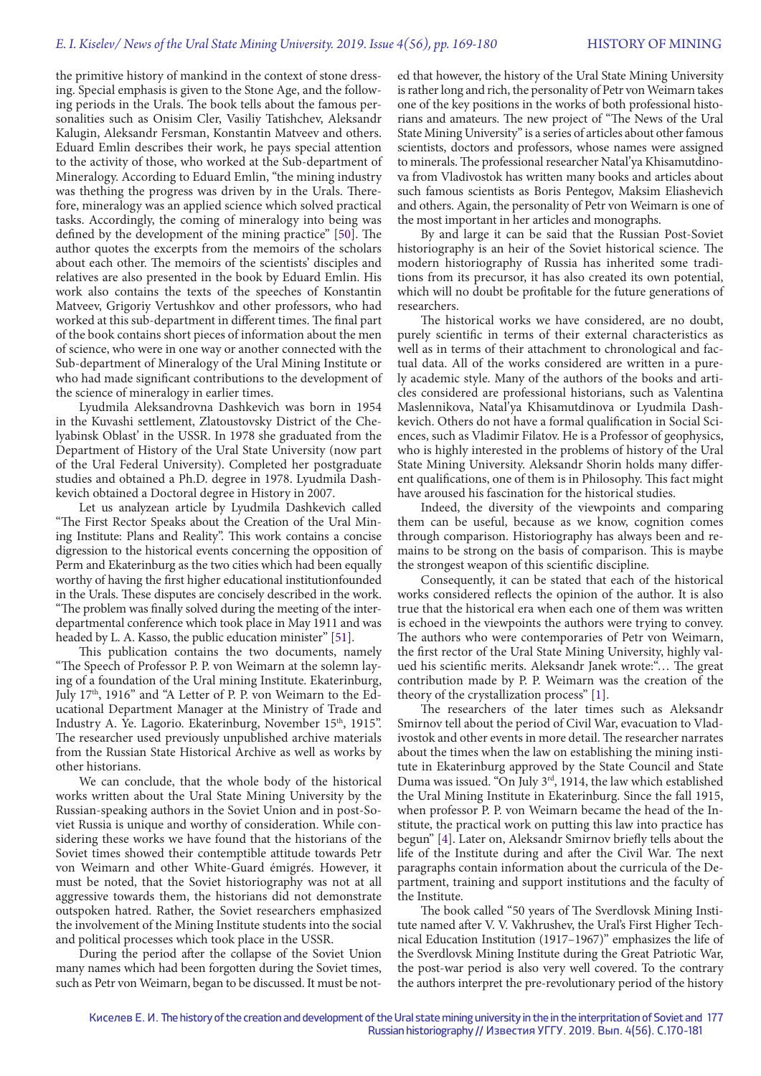#### *E. I. Kiselev/ News of the Ural State Mining University. 2019. Issue 4(56), pp. 169-180* **HISTORY OF MINING**

the primitive history of mankind in the context of stone dressing. Special emphasis is given to the Stone Age, and the following periods in the Urals. The book tells about the famous personalities such as Onisim Cler, Vasiliy Tatishchev, Aleksandr Kalugin, Aleksandr Fersman, Konstantin Matveev and others. Eduard Emlin describes their work, he pays special attention to the activity of those, who worked at the Sub-department of Mineralogy. According to Eduard Emlin, "the mining industry was thething the progress was driven by in the Urals. Therefore, mineralogy was an applied science which solved practical tasks. Accordingly, the coming of mineralogy into being was defined by the development of the mining practice" [50]. The author quotes the excerpts from the memoirs of the scholars about each other. The memoirs of the scientists' disciples and relatives are also presented in the book by Eduard Emlin. His work also contains the texts of the speeches of Konstantin Matveev, Grigoriy Vertushkov and other professors, who had worked at this sub-department in different times. The final part of the book contains short pieces of information about the men of science, who were in one way or another connected with the Sub-department of Mineralogy of the Ural Mining Institute or who had made significant contributions to the development of the science of mineralogy in earlier times.

Lyudmila Aleksandrovna Dashkevich was born in 1954 in the Kuvashi settlement, Zlatoustovsky District of the Chelyabinsk Oblast' in the USSR. In 1978 she graduated from the Department of History of the Ural State University (now part of the Ural Federal University). Completed her postgraduate studies and obtained a Ph.D. degree in 1978. Lyudmila Dashkevich obtained a Doctoral degree in History in 2007.

Let us analyzean article by Lyudmila Dashkevich called "The First Rector Speaks about the Creation of the Ural Mining Institute: Plans and Reality". This work contains a concise digression to the historical events concerning the opposition of Perm and Ekaterinburg as the two cities which had been equally worthy of having the first higher educational institutionfounded in the Urals. These disputes are concisely described in the work. "The problem was finally solved during the meeting of the interdepartmental conference which took place in May 1911 and was headed by L. A. Kasso, the public education minister" [51].

This publication contains the two documents, namely "The Speech of Professor P. P. von Weimarn at the solemn laying of a foundation of the Ural mining Institute. Ekaterinburg, July 17th, 1916" and "A Letter of P. P. von Weimarn to the Educational Department Manager at the Ministry of Trade and Industry A. Ye. Lagorio. Ekaterinburg, November 15<sup>th</sup>, 1915". The researcher used previously unpublished archive materials from the Russian State Historical Archive as well as works by other historians.

We can conclude, that the whole body of the historical works written about the Ural State Mining University by the Russian-speaking authors in the Soviet Union and in post-Soviet Russia is unique and worthy of consideration. While considering these works we have found that the historians of the Soviet times showed their contemptible attitude towards Petr von Weimarn and other White-Guard émigrés. However, it must be noted, that the Soviet historiography was not at all aggressive towards them, the historians did not demonstrate outspoken hatred. Rather, the Soviet researchers emphasized the involvement of the Mining Institute students into the social and political processes which took place in the USSR.

During the period after the collapse of the Soviet Union many names which had been forgotten during the Soviet times, such as Petr von Weimarn, began to be discussed. It must be not-

ed that however, the history of the Ural State Mining University is rather long and rich, the personality of Petr von Weimarn takes one of the key positions in the works of both professional historians and amateurs. The new project of "The News of the Ural State Mining University" is a series of articles about other famous scientists, doctors and professors, whose names were assigned to minerals. The professional researcher Natal'ya Khisamutdinova from Vladivostok has written many books and articles about such famous scientists as Boris Pentegov, Maksim Eliashevich and others. Again, the personality of Petr von Weimarn is one of the most important in her articles and monographs.

By and large it can be said that the Russian Post-Soviet historiography is an heir of the Soviet historical science. The modern historiography of Russia has inherited some traditions from its precursor, it has also created its own potential, which will no doubt be profitable for the future generations of researchers.

The historical works we have considered, are no doubt, purely scientific in terms of their external characteristics as well as in terms of their attachment to chronological and factual data. All of the works considered are written in a purely academic style. Many of the authors of the books and articles considered are professional historians, such as Valentina Maslennikova, Natal'ya Khisamutdinova or Lyudmila Dashkevich. Others do not have a formal qualification in Social Sciences, such as Vladimir Filatov. He is a Professor of geophysics, who is highly interested in the problems of history of the Ural State Mining University. Aleksandr Shorin holds many different qualifications, one of them is in Philosophy. This fact might have aroused his fascination for the historical studies.

Indeed, the diversity of the viewpoints and comparing them can be useful, because as we know, cognition comes through comparison. Historiography has always been and remains to be strong on the basis of comparison. This is maybe the strongest weapon of this scientific discipline.

Consequently, it can be stated that each of the historical works considered reflects the opinion of the author. It is also true that the historical era when each one of them was written is echoed in the viewpoints the authors were trying to convey. The authors who were contemporaries of Petr von Weimarn, the first rector of the Ural State Mining University, highly valued his scientific merits. Aleksandr Janek wrote:"… The great contribution made by P. P. Weimarn was the creation of the theory of the crystallization process" [1].

The researchers of the later times such as Aleksandr Smirnov tell about the period of Civil War, evacuation to Vladivostok and other events in more detail. The researcher narrates about the times when the law on establishing the mining institute in Ekaterinburg approved by the State Council and State Duma was issued. "On July 3rd, 1914, the law which established the Ural Mining Institute in Ekaterinburg. Since the fall 1915, when professor P. P. von Weimarn became the head of the Institute, the practical work on putting this law into practice has begun" [4]. Later on, Aleksandr Smirnov briefly tells about the life of the Institute during and after the Civil War. The next paragraphs contain information about the curricula of the Department, training and support institutions and the faculty of the Institute.

The book called "50 years of The Sverdlovsk Mining Institute named after V. V. Vakhrushev, the Ural's First Higher Technical Education Institution (1917–1967)" emphasizes the life of the Sverdlovsk Mining Institute during the Great Patriotic War, the post-war period is also very well covered. To the contrary the authors interpret the pre-revolutionary period of the history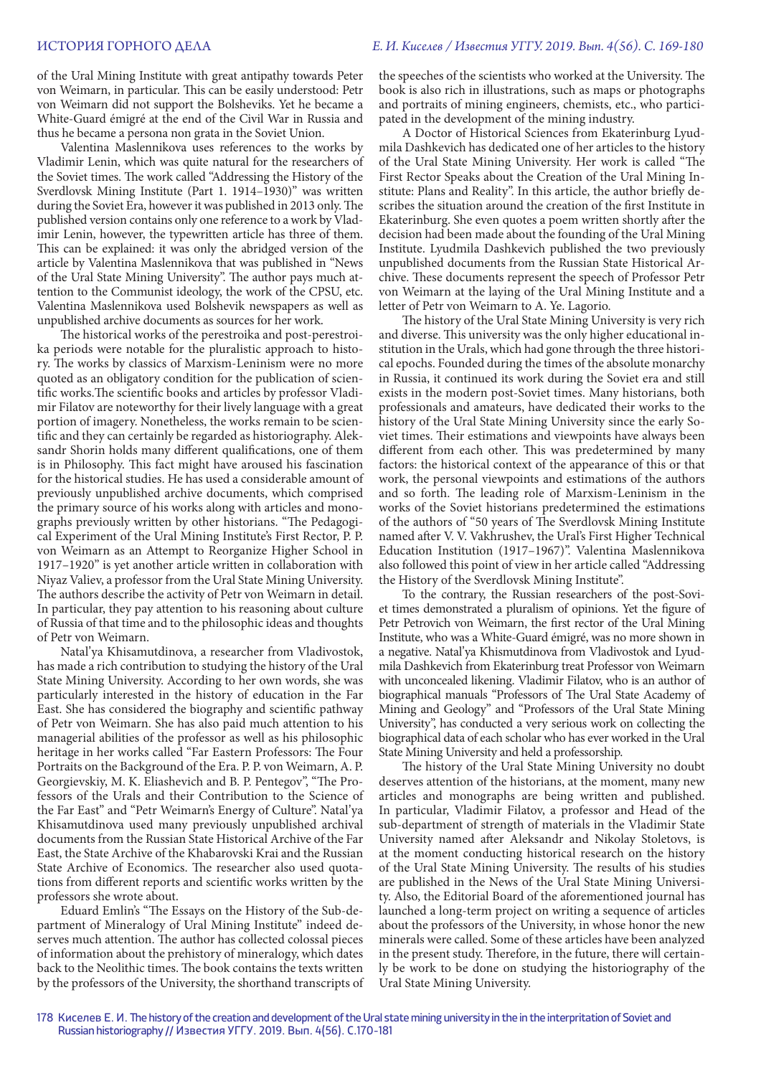of the Ural Mining Institute with great antipathy towards Peter von Weimarn, in particular. This can be easily understood: Petr von Weimarn did not support the Bolsheviks. Yet he became a White-Guard émigré at the end of the Civil War in Russia and thus he became a persona non grata in the Soviet Union.

Valentina Maslennikova uses references to the works by Vladimir Lenin, which was quite natural for the researchers of the Soviet times. The work called "Addressing the History of the Sverdlovsk Mining Institute (Part 1. 1914–1930)" was written during the Soviet Era, however it was published in 2013 only. The published version contains only one reference to a work by Vladimir Lenin, however, the typewritten article has three of them. This can be explained: it was only the abridged version of the article by Valentina Maslennikova that was published in "News of the Ural State Mining University". The author pays much attention to the Communist ideology, the work of the CPSU, etc. Valentina Maslennikova used Bolshevik newspapers as well as unpublished archive documents as sources for her work.

The historical works of the perestroika and post-perestroika periods were notable for the pluralistic approach to history. The works by classics of Marxism-Leninism were no more quoted as an obligatory condition for the publication of scientific works.The scientific books and articles by professor Vladimir Filatov are noteworthy for their lively language with a great portion of imagery. Nonetheless, the works remain to be scientific and they can certainly be regarded as historiography. Aleksandr Shorin holds many different qualifications, one of them is in Philosophy. This fact might have aroused his fascination for the historical studies. He has used a considerable amount of previously unpublished archive documents, which comprised the primary source of his works along with articles and monographs previously written by other historians. "The Pedagogical Experiment of the Ural Mining Institute's First Rector, P. P. von Weimarn as an Attempt to Reorganize Higher School in 1917–1920" is yet another article written in collaboration with Niyaz Valiev, a professor from the Ural State Mining University. The authors describe the activity of Petr von Weimarn in detail. In particular, they pay attention to his reasoning about culture of Russia of that time and to the philosophic ideas and thoughts of Petr von Weimarn.

Natal'ya Khisamutdinova, a researcher from Vladivostok, has made a rich contribution to studying the history of the Ural State Mining University. According to her own words, she was particularly interested in the history of education in the Far East. She has considered the biography and scientific pathway of Petr von Weimarn. She has also paid much attention to his managerial abilities of the professor as well as his philosophic heritage in her works called "Far Eastern Professors: The Four Portraits on the Background of the Era. P. P. von Weimarn, A. P. Georgievskiy, M. K. Eliashevich and B. P. Pentegov", "The Professors of the Urals and their Contribution to the Science of the Far East" and "Petr Weimarn's Energy of Culture". Natal'ya Khisamutdinova used many previously unpublished archival documents from the Russian State Historical Archive of the Far East, the State Archive of the Khabarovski Krai and the Russian State Archive of Economics. The researcher also used quotations from different reports and scientific works written by the professors she wrote about.

Eduard Emlin's "The Essays on the History of the Sub-department of Mineralogy of Ural Mining Institute" indeed deserves much attention. The author has collected colossal pieces of information about the prehistory of mineralogy, which dates back to the Neolithic times. The book contains the texts written by the professors of the University, the shorthand transcripts of the speeches of the scientists who worked at the University. The book is also rich in illustrations, such as maps or photographs and portraits of mining engineers, chemists, etc., who participated in the development of the mining industry.

A Doctor of Historical Sciences from Ekaterinburg Lyudmila Dashkevich has dedicated one of her articles to the history of the Ural State Mining University. Her work is called "The First Rector Speaks about the Creation of the Ural Mining Institute: Plans and Reality". In this article, the author briefly describes the situation around the creation of the first Institute in Ekaterinburg. She even quotes a poem written shortly after the decision had been made about the founding of the Ural Mining Institute. Lyudmila Dashkevich published the two previously unpublished documents from the Russian State Historical Archive. These documents represent the speech of Professor Petr von Weimarn at the laying of the Ural Mining Institute and a letter of Petr von Weimarn to A. Ye. Lagorio.

The history of the Ural State Mining University is very rich and diverse. This university was the only higher educational institution in the Urals, which had gone through the three historical epochs. Founded during the times of the absolute monarchy in Russia, it continued its work during the Soviet era and still exists in the modern post-Soviet times. Many historians, both professionals and amateurs, have dedicated their works to the history of the Ural State Mining University since the early Soviet times. Their estimations and viewpoints have always been different from each other. This was predetermined by many factors: the historical context of the appearance of this or that work, the personal viewpoints and estimations of the authors and so forth. The leading role of Marxism-Leninism in the works of the Soviet historians predetermined the estimations of the authors of "50 years of The Sverdlovsk Mining Institute named after V. V. Vakhrushev, the Ural's First Higher Technical Education Institution (1917–1967)". Valentina Maslennikova also followed this point of view in her article called "Addressing the History of the Sverdlovsk Mining Institute".

To the contrary, the Russian researchers of the post-Soviet times demonstrated a pluralism of opinions. Yet the figure of Petr Petrovich von Weimarn, the first rector of the Ural Mining Institute, who was a White-Guard émigré, was no more shown in a negative. Natal'ya Khismutdinova from Vladivostok and Lyudmila Dashkevich from Ekaterinburg treat Professor von Weimarn with unconcealed likening. Vladimir Filatov, who is an author of biographical manuals "Professors of The Ural State Academy of Mining and Geology" and "Professors of the Ural State Mining University", has conducted a very serious work on collecting the biographical data of each scholar who has ever worked in the Ural State Mining University and held a professorship.

The history of the Ural State Mining University no doubt deserves attention of the historians, at the moment, many new articles and monographs are being written and published. In particular, Vladimir Filatov, a professor and Head of the sub-department of strength of materials in the Vladimir State University named after Aleksandr and Nikolay Stoletovs, is at the moment conducting historical research on the history of the Ural State Mining University. The results of his studies are published in the News of the Ural State Mining University. Also, the Editorial Board of the aforementioned journal has launched a long-term project on writing a sequence of articles about the professors of the University, in whose honor the new minerals were called. Some of these articles have been analyzed in the present study. Therefore, in the future, there will certainly be work to be done on studying the historiography of the Ural State Mining University.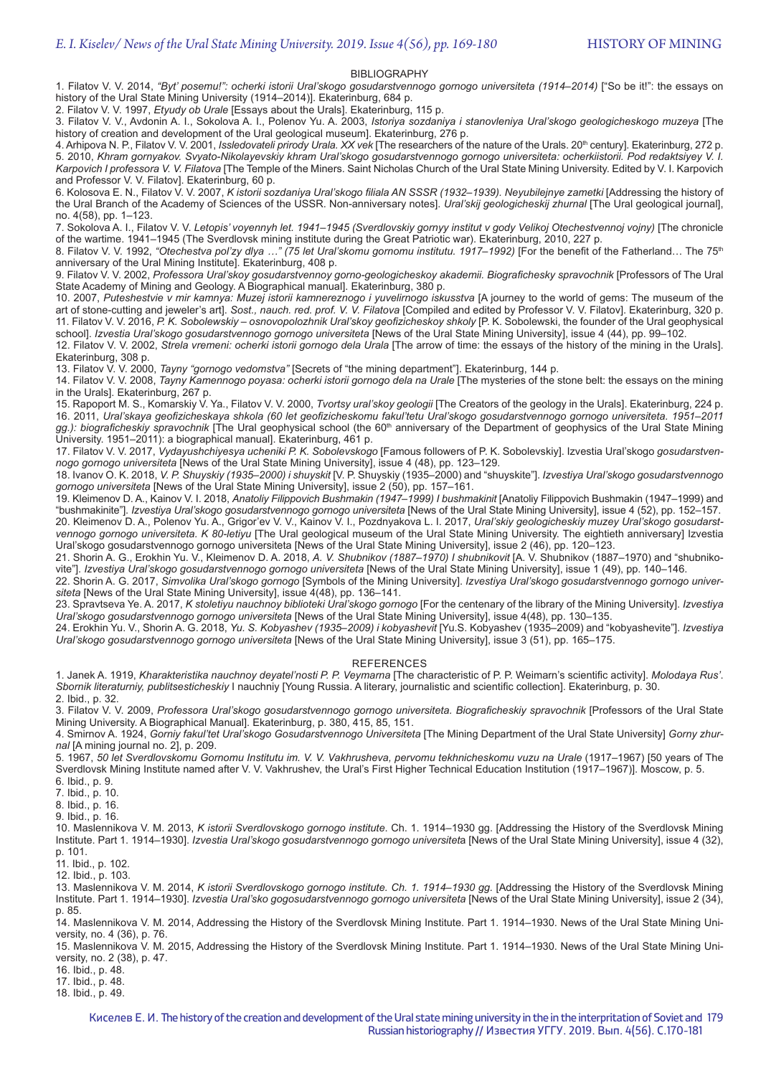#### BIBLIOGRAPHY

1. Filatov V. V. 2014, *"Byt' posemu!": ocherki istorii Ural'skogo gosudarstvennogo gornogo universiteta (1914–2014)* ["So be it!": the essays on history of the Ural State Mining University (1914–2014)]. Ekaterinburg, 684 p.

2. Filatov V. V. 1997, *Etyudy ob Urale* [Essays about the Urals]. Ekaterinburg, 115 p.

3. Filatov V. V., Avdonin A. I., Sokolova A. I., Polenov Yu. A. 2003, *Istoriya sozdaniya i stanovleniya Ural'skogo geologicheskogo muzeya* [The history of creation and development of the Ural geological museum]. Ekaterinburg, 276 p.

4. Arhipova N. P., Filatov V. V. 2001, *Issledovateli prirody Urala. XX vek* [The researchers of the nature of the Urals. 20<sup>th</sup> century]. Ekaterinburg, 272 p. 5. 2010, *Khram gornyakov. Svyato-Nikolayevskiy khram Ural'skogo gosudarstvennogo gornogo universiteta: ocherkiistorii. Pod redaktsiyey V. I. Karpovich I professora V. V. Filatova* [The Temple of the Miners. Saint Nicholas Church of the Ural State Mining University. Edited by V. I. Karpovich and Professor V. V. Filatov]. Ekaterinburg, 60 p.

6. Kolosova E. N., Filatov V. V. 2007, *K istorii sozdaniya Ural'skogo filiala AN SSSR (1932–1939). Neyubilejnye zametki* [Addressing the history of the Ural Branch of the Academy of Sciences of the USSR. Non-anniversary notes]. *Ural'skij geologicheskij zhurnal* [The Ural geological journal], no. 4(58), pp. 1–123.

7. Sokolova A. I., Filatov V. V. *Letopis' voyennyh let. 1941–1945 (Sverdlovskiy gornyy institut v gody Velikoj Otechestvennoj vojny)* [The chronicle of the wartime. 1941–1945 (The Sverdlovsk mining institute during the Great Patriotic war). Ekaterinburg, 2010, 227 p.

8. Filatov V. V. 1992, "Otechestva pol'zy dlya ..." (75 let Ural'skomu gornomu institutu. 1917–1992) [For the benefit of the Fatherland... The 75<sup>th</sup> anniversary of the Ural Mining Institute]. Ekaterinburg, 408 p.

9. Filatov V. V. 2002, *Professora Ural'skoy gosudarstvennoy gorno-geologicheskoy akademii. Biografichesky spravochnik* [Professors of The Ural State Academy of Mining and Geology. A Biographical manual]. Ekaterinburg, 380 p.

10. 2007, *Puteshestvie v mir kamnya: Muzej istorii kamnereznogo i yuvelirnogo iskusstva* [A journey to the world of gems: The museum of the art of stone-cutting and jeweler's art]. *Sost., nauch. red. prof. V. V. Filatova* [Compiled and edited by Professor V. V. Filatov]. Ekaterinburg, 320 p. 11. Filatov V. V. 2016, *P. K. Sobolewskiy – osnovopolozhnik Ural'skoy geofizicheskoy shkoly* [P. K. Sobolewski, the founder of the Ural geophysical school]. *Izvestia Ural'skogo gosudarstvennogo gornogo universiteta* [News of the Ural State Mining University], issue 4 (44), pp. 99–102.

12. Filatov V. V. 2002, *Strela vremeni: ocherki istorii gornogo dela Urala* [The arrow of time: the essays of the history of the mining in the Urals]. Ekaterinburg, 308 p.

13. Filatov V. V. 2000, *Tayny "gornogo vedomstva"* [Secrets of "the mining department"]. Ekaterinburg, 144 p.

14. Filatov V. V. 2008, *Tayny Kamennogo poyasa: ocherki istorii gornogo dela na Urale* [The mysteries of the stone belt: the essays on the mining in the Urals]. Ekaterinburg, 267 p.

15. Rapoport M. S., Komarskiy V. Ya., Filatov V. V. 2000, *Tvortsy ural'skoy geologii* [The Creators of the geology in the Urals]. Ekaterinburg, 224 p. 16. 2011, *Ural'skaya geofizicheskaya shkola (60 let geofizicheskomu fakul'tetu Ural'skogo gosudarstvennogo gornogo universiteta. 1951–2011*  gg.): biograficheskiy spravochnik [The Ural geophysical school (the 60<sup>th</sup> anniversary of the Department of geophysics of the Ural State Mining University. 1951–2011): a biographical manual]. Ekaterinburg, 461 p.

17. Filatov V. V. 2017, *Vydayushchiyesya ucheniki P. K. Sobolevskogo* [Famous followers of P. K. Sobolevskiy]. Izvestia Ural'skogo *gosudarstvennogo gornogo universiteta* [News of the Ural State Mining University], issue 4 (48), pp. 123–129.

18. Ivanov O. K. 2018, *V. P. Shuyskiy (1935–2000) i shuyskit* [V. P. Shuyskiy (1935–2000) and "shuyskite"]. *Izvestiya Ural'skogo gosudarstvennogo gornogo universiteta* [News of the Ural State Mining University], issue 2 (50), pp. 157–161.

19. Kleimenov D. A., Kainov V. I. 2018, *Anatoliy Filippovich Bushmakin (1947–1999) I bushmakinit* [Anatoliy Filippovich Bushmakin (1947–1999) and "bushmakinite"]. *Izvestiya Ural'skogo gosudarstvennogo gornogo universiteta* [News of the Ural State Mining University], issue 4 (52), pp. 152–157. 20. Kleimenov D. A., Polenov Yu. A., Grigor'ev V. V., Kainov V. I., Pozdnyakova L. I. 2017, *Ural'skiy geologicheskiy muzey Ural'skogo gosudarstvennogo gornogo universiteta. K 80-letiyu* [The Ural geological museum of the Ural State Mining University. The eightieth anniversary] Izvestia Ural'skogo gosudarstvennogo gornogo universiteta [News of the Ural State Mining University], issue 2 (46), pp. 120–123.

21. Shorin A. G., Erokhin Yu. V., Kleimenov D. A. 2018, *A. V. Shubnikov (1887–1970) I shubnikovit* [A. V. Shubnikov (1887–1970) and "shubnikovite"]. *Izvestiya Ural'skogo gosudarstvennogo gornogo universiteta* [News of the Ural State Mining University], issue 1 (49), pp. 140–146.

22. Shorin A. G. 2017, *Simvolika Ural'skogo gornogo* [Symbols of the Mining University]. *Izvestiya Ural'skogo gosudarstvennogo gornogo universiteta* [News of the Ural State Mining University], issue 4(48), pp. 136–141.

23. Spravtseva Ye. A. 2017, *K stoletiyu nauchnoy biblioteki Ural'skogo gornogo* [For the centenary of the library of the Mining University]. *Izvestiya Ural'skogo gosudarstvennogo gornogo universiteta* [News of the Ural State Mining University], issue 4(48), pp. 130–135.

24. Erokhin Yu. V., Shorin A. G. 2018, *Yu. S. Kobyashev (1935–2009) i kobyashevit* [Yu.S. Kobyashev (1935–2009) and "kobyashevite"]. *Izvestiya Ural'skogo gosudarstvennogo gornogo universiteta* [News of the Ural State Mining University], issue 3 (51), pp. 165–175.

#### REFERENCES

1. Janek A. 1919, *Kharakteristika nauchnoy deyatel'nosti P. P. Veymarna* [The characteristic of P. P. Weimarn's scientific activity]. *Molodaya Rus'*. *Sbornik literaturniy, publitsesticheskiy* I nauchniy [Young Russia. A literary, journalistic and scientific collection]. Ekaterinburg, p. 30. 2. Ibid., p. 32.

3. Filatov V. V. 2009, *Professora Ural'skogo gosudarstvennogo gornogo universiteta. Biograficheskiy spravochnik* [Professors of the Ural State Mining University. A Biographical Manual]. Ekaterinburg, p. 380, 415, 85, 151.

4. Smirnov A. 1924, *Gorniy fakul'tet Ural'skogo Gosudarstvennogo Universiteta* [The Mining Department of the Ural State University] *Gorny zhurnal* [A mining journal no. 2], p. 209.

5. 1967, *50 let Sverdlovskomu Gornomu Institutu im. V. V. Vakhrusheva, pervomu tekhnicheskomu vuzu na Urale* (1917–1967) [50 years of The Sverdlovsk Mining Institute named after V. V. Vakhrushev, the Ural's First Higher Technical Education Institution (1917–1967)]. Moscow, p. 5. 6. Ibid., p. 9.

7. Ibid., p. 10.

8. Ibid., p. 16.

9. Ibid., p. 16.

10. Maslennikova V. M. 2013, *K istorii Sverdlovskogo gornogo institute*. Ch. 1. 1914–1930 gg. [Addressing the History of the Sverdlovsk Mining Institute. Part 1. 1914–1930]. *Izvestia Ural'skogo gosudarstvennogo gornogo universitet*a [News of the Ural State Mining University], issue 4 (32), p. 101.

11. Ibid., p. 102.

12. Ibid., p. 103.

13. Maslennikova V. M. 2014, *K istorii Sverdlovskogo gornogo institute. Ch. 1. 1914–1930 gg.* [Addressing the History of the Sverdlovsk Mining Institute. Part 1. 1914–1930]. *Izvestia Ural'sko gogosudarstvennogo gornogo universiteta* [News of the Ural State Mining University], issue 2 (34), p. 85.

14. Maslennikova V. M. 2014, Addressing the History of the Sverdlovsk Mining Institute. Part 1. 1914–1930. News of the Ural State Mining University, no. 4 (36), p. 76.

15. Maslennikova V. M. 2015, Addressing the History of the Sverdlovsk Mining Institute. Part 1. 1914–1930. News of the Ural State Mining University, no. 2 (38), p. 47.

16. Ibid., p. 48.

17. Ibid., p. 48.

18. Ibid., p. 49.